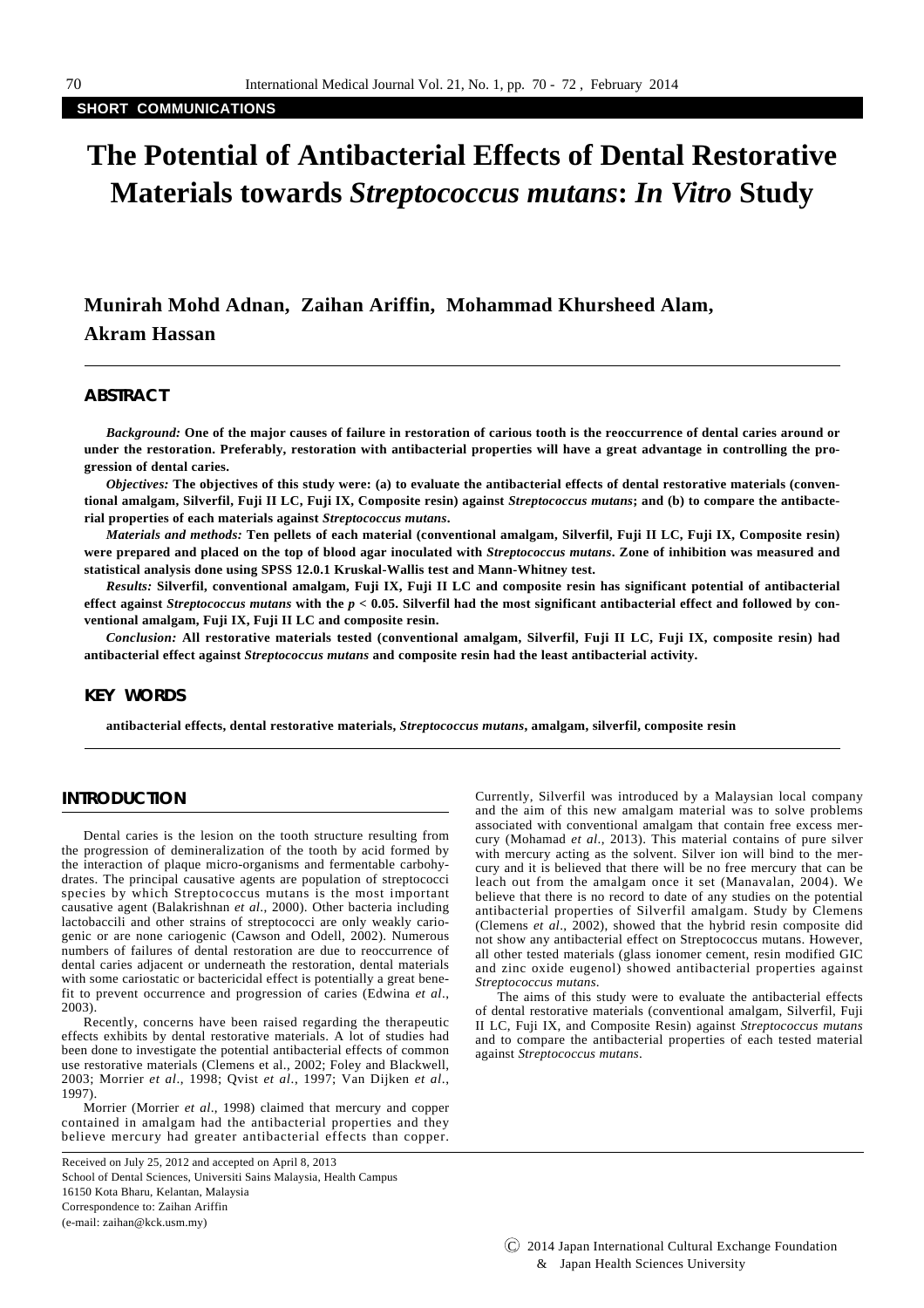**SHORT COMMUNICATIONS**

# **The Potential of Antibacterial Effects of Dental Restorative Materials towards** *Streptococcus mutans***:** *In Vitro* **Study**

**Munirah Mohd Adnan, Zaihan Ariffin, Mohammad Khursheed Alam, Akram Hassan**

#### **ABSTRACT**

*Background:* **One of the major causes of failure in restoration of carious tooth is the reoccurrence of dental caries around or under the restoration. Preferably, restoration with antibacterial properties will have a great advantage in controlling the progression of dental caries.** 

*Objectives:* **The objectives of this study were: (a) to evaluate the antibacterial effects of dental restorative materials (conventional amalgam, Silverfil, Fuji II LC, Fuji IX, Composite resin) against** *Streptococcus mutans***; and (b) to compare the antibacterial properties of each materials against** *Streptococcus mutans***.** 

*Materials and methods:* **Ten pellets of each material (conventional amalgam, Silverfil, Fuji II LC, Fuji IX, Composite resin) were prepared and placed on the top of blood agar inoculated with** *Streptococcus mutans***. Zone of inhibition was measured and statistical analysis done using SPSS 12.0.1 Kruskal-Wallis test and Mann-Whitney test.** 

*Results:* **Silverfil, conventional amalgam, Fuji IX, Fuji II LC and composite resin has significant potential of antibacterial effect against** *Streptococcus mutans* **with the** *p* **< 0.05. Silverfil had the most significant antibacterial effect and followed by conventional amalgam, Fuji IX, Fuji II LC and composite resin.** 

*Conclusion:* **All restorative materials tested (conventional amalgam, Silverfil, Fuji II LC, Fuji IX, composite resin) had antibacterial effect against** *Streptococcus mutans* **and composite resin had the least antibacterial activity.**

# **KEY WORDS**

**antibacterial effects, dental restorative materials,** *Streptococcus mutans***, amalgam, silverfil, composite resin**

# **INTRODUCTION**

Dental caries is the lesion on the tooth structure resulting from the progression of demineralization of the tooth by acid formed by the interaction of plaque micro-organisms and fermentable carbohydrates. The principal causative agents are population of streptococci species by which Streptococcus mutans is the most important causative agent (Balakrishnan *et al*., 2000). Other bacteria including lactobaccili and other strains of streptococci are only weakly cariogenic or are none cariogenic (Cawson and Odell, 2002). Numerous numbers of failures of dental restoration are due to reoccurrence of dental caries adjacent or underneath the restoration, dental materials with some cariostatic or bactericidal effect is potentially a great benefit to prevent occurrence and progression of caries (Edwina *et al*., 2003).

Recently, concerns have been raised regarding the therapeutic effects exhibits by dental restorative materials. A lot of studies had been done to investigate the potential antibacterial effects of common use restorative materials (Clemens et al., 2002; Foley and Blackwell, 2003; Morrier *et al*., 1998; Qvist *et al*., 1997; Van Dijken *et al*., 1997).

Morrier (Morrier *et al*., 1998) claimed that mercury and copper contained in amalgam had the antibacterial properties and they believe mercury had greater antibacterial effects than copper.

Received on July 25, 2012 and accepted on April 8, 2013

School of Dental Sciences, Universiti Sains Malaysia, Health Campus

16150 Kota Bharu, Kelantan, Malaysia

Correspondence to: Zaihan Ariffin

(e-mail: zaihan@kck.usm.my)

Currently, Silverfil was introduced by a Malaysian local company and the aim of this new amalgam material was to solve problems associated with conventional amalgam that contain free excess mercury (Mohamad *et al*., 2013). This material contains of pure silver with mercury acting as the solvent. Silver ion will bind to the mercury and it is believed that there will be no free mercury that can be leach out from the amalgam once it set (Manavalan, 2004). We believe that there is no record to date of any studies on the potential antibacterial properties of Silverfil amalgam. Study by Clemens (Clemens *et al*., 2002), showed that the hybrid resin composite did not show any antibacterial effect on Streptococcus mutans. However, all other tested materials (glass ionomer cement, resin modified GIC and zinc oxide eugenol) showed antibacterial properties against *Streptococcus mutans*.

The aims of this study were to evaluate the antibacterial effects of dental restorative materials (conventional amalgam, Silverfil, Fuji II LC, Fuji IX, and Composite Resin) against *Streptococcus mutans* and to compare the antibacterial properties of each tested material against *Streptococcus mutans*.

C 2014 Japan International Cultural Exchange Foundation & Japan Health Sciences University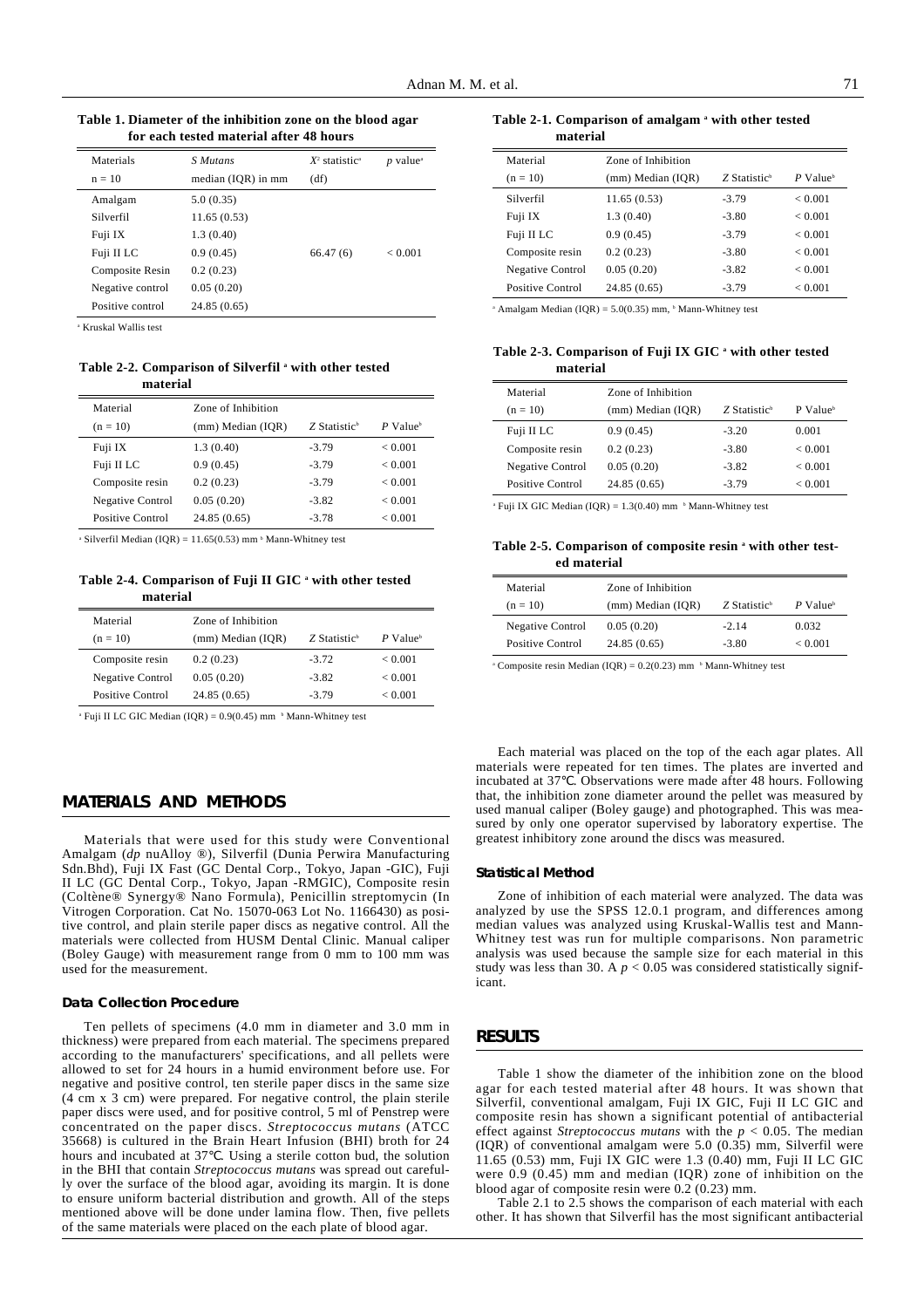**Table 1. Diameter of the inhibition zone on the blood agar for each tested material after 48 hours**

| Materials<br>$n = 10$ | S Mutans<br>median (IQR) in mm | $X^2$ statistic <sup>a</sup><br>(df) | $p$ value <sup><math>a</math></sup> |
|-----------------------|--------------------------------|--------------------------------------|-------------------------------------|
| Amalgam               | 5.0(0.35)                      |                                      |                                     |
| Silverfil             | 11.65(0.53)                    |                                      |                                     |
| Fuji IX               | 1.3(0.40)                      |                                      |                                     |
| Fuji II LC            | 0.9(0.45)                      | 66.47(6)                             | ${}_{< 0.001}$                      |
| Composite Resin       | 0.2(0.23)                      |                                      |                                     |
| Negative control      | 0.05(0.20)                     |                                      |                                     |
| Positive control      | 24.85 (0.65)                   |                                      |                                     |

<sup>a</sup> Kruskal Wallis test

Table 2-2. Comparison of Silverfil<sup>ª</sup> with other tested **material**

| Material                | Zone of Inhibition |                          |                        |
|-------------------------|--------------------|--------------------------|------------------------|
| $(n = 10)$              | (mm) Median (IQR)  | Z Statistic <sup>b</sup> | $P$ Value <sup>b</sup> |
| Fuji IX                 | 1.3(0.40)          | $-3.79$                  | ${}_{0.001}$           |
| Fuji II LC              | 0.9(0.45)          | $-3.79$                  | ${}_{0.001}$           |
| Composite resin         | 0.2(0.23)          | $-3.79$                  | ${}_{0.001}$           |
| <b>Negative Control</b> | 0.05(0.20)         | $-3.82$                  | ${}_{0.001}$           |
| Positive Control        | 24.85 (0.65)       | $-3.78$                  | ${}_{< 0.001}$         |

<sup>a</sup> Silverfil Median (IQR) =  $11.65(0.53)$  mm<sup>b</sup> Mann-Whitney test

#### **Table 2-4. Comparison of Fuji II GIC a with other tested material**

| Material                | Zone of Inhibition |                          |                        |
|-------------------------|--------------------|--------------------------|------------------------|
| $(n = 10)$              | (mm) Median (IOR)  | Z Statistic <sup>b</sup> | $P$ Value <sup>b</sup> |
| Composite resin         | 0.2(0.23)          | $-3.72$                  | ${}_{< 0.001}$         |
| <b>Negative Control</b> | 0.05(0.20)         | $-3.82$                  | ${}_{< 0.001}$         |
| Positive Control        | 24.85 (0.65)       | $-3.79$                  | ${}_{< 0.001}$         |

<sup>a</sup> Fuji II LC GIC Median (IOR) =  $0.9(0.45)$  mm  $\beta$  Mann-Whitney test

# **MATERIALS AND METHODS**

Materials that were used for this study were Conventional Amalgam (*dp* nuAlloy ®), Silverfil (Dunia Perwira Manufacturing Sdn.Bhd), Fuji IX Fast (GC Dental Corp., Tokyo, Japan -GIC), Fuji II LC (GC Dental Corp., Tokyo, Japan -RMGIC), Composite resin (Coltène® Synergy® Nano Formula), Penicillin streptomycin (In Vitrogen Corporation. Cat No. 15070-063 Lot No. 1166430) as positive control, and plain sterile paper discs as negative control. All the materials were collected from HUSM Dental Clinic. Manual caliper (Boley Gauge) with measurement range from 0 mm to 100 mm was used for the measurement.

#### **Data Collection Procedure**

Ten pellets of specimens (4.0 mm in diameter and 3.0 mm in thickness) were prepared from each material. The specimens prepared according to the manufacturers' specifications, and all pellets were allowed to set for 24 hours in a humid environment before use. For negative and positive control, ten sterile paper discs in the same size (4 cm x 3 cm) were prepared. For negative control, the plain sterile paper discs were used, and for positive control, 5 ml of Penstrep were concentrated on the paper discs. *Streptococcus mutans* (ATCC 35668) is cultured in the Brain Heart Infusion (BHI) broth for 24 hours and incubated at 37 . Using a sterile cotton bud, the solution in the BHI that contain *Streptococcus mutans* was spread out carefully over the surface of the blood agar, avoiding its margin. It is done to ensure uniform bacterial distribution and growth. All of the steps mentioned above will be done under lamina flow. Then, five pellets of the same materials were placed on the each plate of blood agar.

Table 2-1. Comparison of amalgam <sup>a</sup> with other tested **material**

| Material         | Zone of Inhibition |                            |                        |
|------------------|--------------------|----------------------------|------------------------|
| $(n = 10)$       | (mm) Median (IOR)  | $Z$ Statistic <sup>b</sup> | $P$ Value <sup>b</sup> |
| Silverfil        | 11.65(0.53)        | $-3.79$                    | ${}_{< 0.001}$         |
| Fuji IX          | 1.3(0.40)          | $-3.80$                    | ${}_{< 0.001}$         |
| Fuji II LC       | 0.9(0.45)          | $-3.79$                    | ${}_{< 0.001}$         |
| Composite resin  | 0.2(0.23)          | $-3.80$                    | ${}_{< 0.001}$         |
| Negative Control | 0.05(0.20)         | $-3.82$                    | ${}_{< 0.001}$         |
| Positive Control | 24.85 (0.65)       | $-3.79$                    | ${}_{< 0.001}$         |

 $^{\circ}$  Amalgam Median (IQR) = 5.0(0.35) mm,  $^{\circ}$  Mann-Whitney test

Table 2-3. Comparison of Fuji IX GIC a with other tested **material**

| Material         | Zone of Inhibition |                          |                        |
|------------------|--------------------|--------------------------|------------------------|
| $(n = 10)$       | (mm) Median (IQR)  | Z Statistic <sup>b</sup> | $P$ Value <sup>b</sup> |
| Fuji II LC       | 0.9(0.45)          | $-3.20$                  | 0.001                  |
| Composite resin  | 0.2(0.23)          | $-3.80$                  | ${}_{0.001}$           |
| Negative Control | 0.05(0.20)         | $-3.82$                  | ${}_{0.001}$           |
| Positive Control | 24.85(0.65)        | $-3.79$                  | ${}_{< 0.001}$         |

<sup>a</sup> Fuji IX GIC Median (IQR) =  $1.3(0.40)$  mm <sup>b</sup> Mann-Whitney test

#### **Table 2-5. Comparison of composite resin a with other tested material**

| Material         | Zone of Inhibition |                            |                        |
|------------------|--------------------|----------------------------|------------------------|
| $(n = 10)$       | (mm) Median (IOR)  | $Z$ Statistic <sup>b</sup> | $P$ Value <sup>b</sup> |
| Negative Control | 0.05(0.20)         | $-2.14$                    | 0.032                  |
| Positive Control | 24.85(0.65)        | $-3.80$                    | ${}_{< 0.001}$         |

<sup>a</sup> Composite resin Median (IOR) =  $0.2(0.23)$  mm <sup>b</sup> Mann-Whitney test

Each material was placed on the top of the each agar plates. All materials were repeated for ten times. The plates are inverted and incubated at 37 . Observations were made after 48 hours. Following that, the inhibition zone diameter around the pellet was measured by used manual caliper (Boley gauge) and photographed. This was measured by only one operator supervised by laboratory expertise. The greatest inhibitory zone around the discs was measured.

#### **Statistical Method**

Zone of inhibition of each material were analyzed. The data was analyzed by use the SPSS 12.0.1 program, and differences among median values was analyzed using Kruskal-Wallis test and Mann-Whitney test was run for multiple comparisons. Non parametric analysis was used because the sample size for each material in this study was less than 30. A  $p < 0.05$  was considered statistically significant.

### **RESULTS**

Table 1 show the diameter of the inhibition zone on the blood agar for each tested material after 48 hours. It was shown that Silverfil, conventional amalgam, Fuji IX GIC, Fuji II LC GIC and composite resin has shown a significant potential of antibacterial effect against *Streptococcus mutans* with the *p* < 0.05. The median (IQR) of conventional amalgam were 5.0 (0.35) mm, Silverfil were 11.65 (0.53) mm, Fuji IX GIC were 1.3 (0.40) mm, Fuji II LC GIC were 0.9 (0.45) mm and median (IQR) zone of inhibition on the blood agar of composite resin were 0.2 (0.23) mm.

Table 2.1 to 2.5 shows the comparison of each material with each other. It has shown that Silverfil has the most significant antibacterial